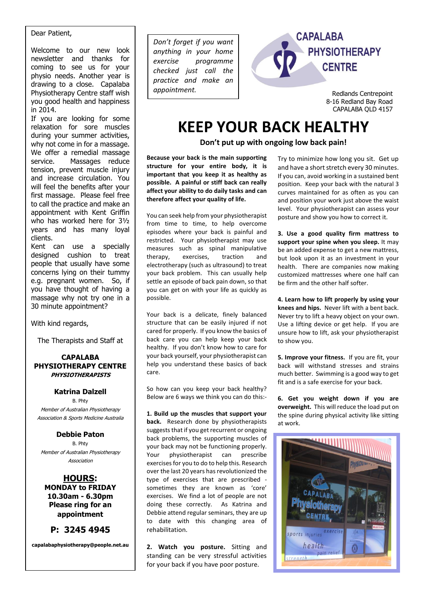#### Dear Patient,

Welcome to our new look newsletter and thanks for coming to see us for your physio needs. Another year is drawing to a close. Capalaba Physiotherapy Centre staff wish you good health and happiness in 2014.

If you are looking for some relaxation for sore muscles during your summer activities, why not come in for a massage. We offer a remedial massage service. Massages reduce tension, prevent muscle injury and increase circulation. You will feel the benefits after your first massage. Please feel free to call the practice and make an appointment with Kent Griffin who has worked here for 3½ years and has many loyal clients.

Kent can use a specially designed cushion to treat people that usually have some concerns lying on their tummy e.g. pregnant women. So, if you have thought of having a massage why not try one in a 30 minute appointment?

With kind regards,

The Therapists and Staff at

#### **CAPALABA PHYSIOTHERAPY CENTRE PHYSIOTHERAPISTS**

### **Katrina Dalzell**

B. Phty Member of Australian Physiotherapy Association & Sports Medicine Australia

#### **Debbie Paton**

B. Phty Member of Australian Physiotherapy Association

**HOURS: MONDAY to FRIDAY 10.30am - 6.30pm Please ring for an appointment**

## **P: 3245 4945**

**capalabaphysiotherapy@people.net.au**

*Don't forget if you want anything in your home exercise programme checked just call the practice and make an appointment.*



Redlands Centrepoint 8-16 Redland Bay Road CAPALABA QLD 4157

# **KEEP YOUR BACK HEALTHY**

**Don't put up with ongoing low back pain!**

**Because your back is the main supporting structure for your entire body, it is important that you keep it as healthy as possible. A painful or stiff back can really affect your ability to do daily tasks and can therefore affect your quality of life.**

You can seek help from your physiotherapist from time to time, to help overcome episodes where your back is painful and restricted. Your physiotherapist may use measures such as spinal manipulative<br>therapy, exercises, traction and therapy, exercises, traction and electrotherapy (such as ultrasound) to treat your back problem. This can usually help settle an episode of back pain down, so that you can get on with your life as quickly as possible.

Your back is a delicate, finely balanced structure that can be easily injured if not cared for properly. If you know the basics of back care you can help keep your back healthy. If you don't know how to care for your back yourself, your physiotherapist can help you understand these basics of back care.

So how can you keep your back healthy? Below are 6 ways we think you can do this:-

**1. Build up the muscles that support your back.** Research done by physiotherapists suggests that if you get recurrent or ongoing back problems, the supporting muscles of your back may not be functioning properly. Your physiotherapist can prescribe exercises for you to do to help this. Research over the last 20 years has revolutionized the type of exercises that are prescribed sometimes they are known as 'core' exercises. We find a lot of people are not doing these correctly. As Katrina and Debbie attend regular seminars, they are up to date with this changing area of rehabilitation.

**2. Watch you posture.** Sitting and standing can be very stressful activities for your back if you have poor posture.

Try to minimize how long you sit. Get up and have a short stretch every 30 minutes. If you can, avoid working in a sustained bent position. Keep your back with the natural 3 curves maintained for as often as you can and position your work just above the waist level. Your physiotherapist can assess your posture and show you how to correct it.

**3. Use a good quality firm mattress to support your spine when you sleep.** It may be an added expense to get a new mattress, but look upon it as an investment in your health. There are companies now making customized mattresses where one half can be firm and the other half softer.

**4. Learn how to lift properly by using your knees and hips.** Never lift with a bent back. Never try to lift a heavy object on your own. Use a lifting device or get help. If you are unsure how to lift, ask your physiotherapist to show you.

**5. Improve your fitness.** If you are fit, your back will withstand stresses and strains much better. Swimming is a good way to get fit and is a safe exercise for your back.

**6. Get you weight down if you are overweight.** This will reduce the load put on the spine during physical activity like sitting at work.